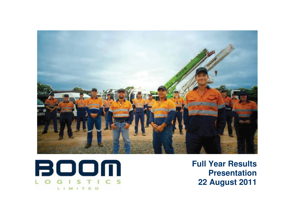



 **Full Year Results Presentation 22 August 2011**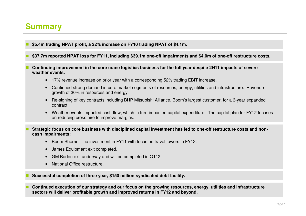## **Summary**

- **\$5.4m trading NPAT profit, a 32% increase on FY10 trading NPAT of \$4.1m.**
- **\$37.7m reported NPAT loss for FY11, including \$39.1m one-off impairments and \$4.0m of one-off restructure costs.**
- **Continuing improvement in the core crane logistics business for the full year despite 2H11 impacts of severe weather events.** 
	- 17% revenue increase on prior year with a corresponding 52% trading EBIT increase.
	- Continued strong demand in core market segments of resources, energy, utilities and infrastructure. Revenue growth of 30% in resources and energy.
	- Re-signing of key contracts including BHP Mitsubishi Alliance, Boom's largest customer, for a 3-year expanded contract.
	- Weather events impacted cash flow, which in turn impacted capital expenditure. The capital plan for FY12 focuses on reducing cross hire to improve margins.
- **Strategic focus on core business with disciplined capital investment has led to one-off restructure costs and noncash impairments:** 
	- Boom Sherrin no investment in FY11 with focus on travel towers in FY12.
	- James Equipment exit completed.
	- GM Baden exit underway and will be completed in Q112.
	- National Office restructure.

**Successful completion of three year, \$150 million syndicated debt facility.** 

 **Continued execution of our strategy and our focus on the growing resources, energy, utilities and infrastructure sectors will deliver profitable growth and improved returns in FY12 and beyond.**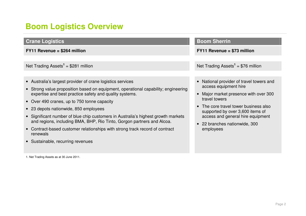# **Boom Logistics Overview**

| <b>Crane Logistics</b>                                                                                                                                                                                                                                                                                                                                                                                                                                                                                                                                                                              | <b>Boom Sherrin</b>                                                                                                                                                                                                                                                                                             |
|-----------------------------------------------------------------------------------------------------------------------------------------------------------------------------------------------------------------------------------------------------------------------------------------------------------------------------------------------------------------------------------------------------------------------------------------------------------------------------------------------------------------------------------------------------------------------------------------------------|-----------------------------------------------------------------------------------------------------------------------------------------------------------------------------------------------------------------------------------------------------------------------------------------------------------------|
| $FY11$ Revenue = \$264 million                                                                                                                                                                                                                                                                                                                                                                                                                                                                                                                                                                      | $FY11$ Revenue = \$73 million                                                                                                                                                                                                                                                                                   |
|                                                                                                                                                                                                                                                                                                                                                                                                                                                                                                                                                                                                     |                                                                                                                                                                                                                                                                                                                 |
| Net Trading Assets <sup>1</sup> = \$281 million                                                                                                                                                                                                                                                                                                                                                                                                                                                                                                                                                     | Net Trading Assets <sup>1</sup> = \$76 million                                                                                                                                                                                                                                                                  |
|                                                                                                                                                                                                                                                                                                                                                                                                                                                                                                                                                                                                     |                                                                                                                                                                                                                                                                                                                 |
| • Australia's largest provider of crane logistics services<br>• Strong value proposition based on equipment, operational capability; engineering<br>expertise and best practice safety and quality systems.<br>• Over 490 cranes, up to 750 tonne capacity<br>• 23 depots nationwide, 850 employees<br>• Significant number of blue chip customers in Australia's highest growth markets<br>and regions, including BMA, BHP, Rio Tinto, Gorgon partners and Alcoa.<br>• Contract-based customer relationships with strong track record of contract<br>renewals<br>• Sustainable, recurring revenues | National provider of travel towers and<br>$\bullet$<br>access equipment hire<br>Major market presence with over 300<br>travel towers<br>The core travel tower business also<br>$\bullet$<br>supported by over 3,600 items of<br>access and general hire equipment<br>• 22 branches nationwide, 300<br>employees |
| 1. Net Trading Assets as at 30 June 2011.                                                                                                                                                                                                                                                                                                                                                                                                                                                                                                                                                           |                                                                                                                                                                                                                                                                                                                 |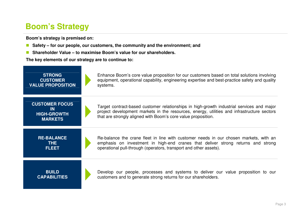# **Boom's Strategy**

**Boom's strategy is premised on:** 

- $\mathcal{L}^{\mathcal{A}}$ **Safety – for our people, our customers, the community and the environment; and**
- П **Shareholder Value – to maximise Boom's value for our shareholders.**

**The key elements of our strategy are to continue to:** 

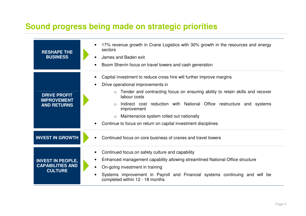# **Sound progress being made on strategic priorities**

| <b>RESHAPE THE</b><br><b>BUSINESS</b>                                 | 17% revenue growth in Crane Logistics with 30% growth in the resources and energy<br>sectors<br>James and Baden exit<br>Boom Sherrin focus on travel towers and cash generation                                                                                                                                                                                                                                                            |
|-----------------------------------------------------------------------|--------------------------------------------------------------------------------------------------------------------------------------------------------------------------------------------------------------------------------------------------------------------------------------------------------------------------------------------------------------------------------------------------------------------------------------------|
| <b>DRIVE PROFIT</b><br><b>IMPROVEMENT</b><br><b>AND RETURNS</b>       | Capital investment to reduce cross hire will further improve margins<br>Drive operational improvements in<br>Tender and contracting focus on ensuring ability to retain skills and recover<br>$\circ$<br>labour costs<br>Indirect cost reduction with National Office restructure and systems<br>$\Omega$<br>improvement<br>Maintenance system rolled out nationally<br>O<br>Continue to focus on return on capital investment disciplines |
| <b>INVEST IN GROWTH</b>                                               | Continued focus on core business of cranes and travel towers                                                                                                                                                                                                                                                                                                                                                                               |
| <b>INVEST IN PEOPLE,</b><br><b>CAPABILITIES AND</b><br><b>CULTURE</b> | Continued focus on safety culture and capability<br>Enhanced management capability allowing streamlined National Office structure<br>On-going investment in training<br>$\bullet$<br>Systems improvement in Payroll and Financial systems continuing and will be<br>completed within 12 - 18 months                                                                                                                                        |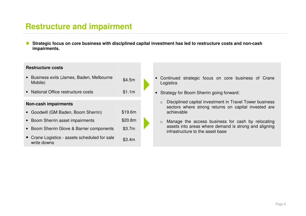# **Restructure and impairment**

 **Strategic focus on core business with disciplined capital investment has led to restructure costs and non-cash impairments.** 

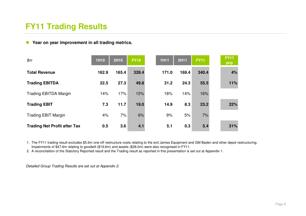# **FY11 Trading Results**

■ Year on year improvement in all trading metrics.

| \$m\$                               | 1H10  | <b>2H10</b> | <b>FY10</b> | <b>1H11</b> | <b>2H11</b> | <b>FY11</b> | <b>FY11</b><br>pcp |
|-------------------------------------|-------|-------------|-------------|-------------|-------------|-------------|--------------------|
| <b>Total Revenue</b>                | 162.9 | 165.4       | 328.4       | 171.0       | 169.4       | 340.4       | 4%                 |
| <b>Trading EBITDA</b>               | 22.5  | 27.3        | 49.8        | 31.2        | 24.3        | 55.5        | 11%                |
| <b>Trading EBITDA Margin</b>        | 14%   | 17%         | 15%         | 18%         | 14%         | 16%         |                    |
| <b>Trading EBIT</b>                 | 7.3   | 11.7        | 19.0        | 14.9        | 8.3         | 23.2        | 22%                |
| <b>Trading EBIT Margin</b>          | 4%    | 7%          | 6%          | 9%          | 5%          | 7%          |                    |
| <b>Trading Net Profit after Tax</b> | 0.5   | 3.6         | 4.1         | 5.1         | 0.3         | 5.4         | 31%                |

1. The FY11 trading result excludes \$5.6m one-off restructure costs relating to the exit James Equipment and GM Baden and other depot restructuring.Impairments of \$47.6m relating to goodwill (\$19.6m) and assets (\$28.0m) were also recognised in FY11.

2. A reconcilaition of the Statutory Reported result and the Trading result as reported in this presentation is set out at Appendix 1.

Detailed Group Trading Results are set out at Appendix 2.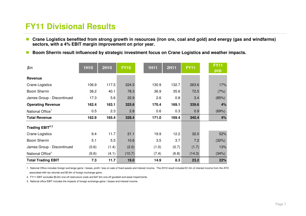## **FY11 Divisional Results**

- **Crane Logistics benefited from strong growth in resources (iron ore, coal and gold) and energy (gas and windfarms) sectors, with a 4% EBIT margin improvement on prior year.**
- $\mathcal{L}_{\mathcal{A}}$ **Boom Sherrin result influenced by strategic investment focus on Crane Logistics and weather impacts.**

| \$т                          | <b>1H10</b> | <b>2H10</b> | <b>FY10</b> | <b>1H11</b> | <b>2H11</b> | <b>FY11</b> | <b>FY11</b><br>pcp |
|------------------------------|-------------|-------------|-------------|-------------|-------------|-------------|--------------------|
| Revenue                      |             |             |             |             |             |             |                    |
| <b>Crane Logistics</b>       | 106.9       | 117.5       | 224.5       | 130.9       | 132.7       | 263.6       | 17%                |
| <b>Boom Sherrin</b>          | 38.2        | 40.1        | 78.3        | 36.9        | 35.6        | 72.5        | (7%)               |
| James Group - Discontinued   | 17.3        | 5.6         | 22.9        | 2.6         | 0.8         | 3.4         | (85%)              |
| <b>Operating Revenue</b>     | 162.4       | 163.1       | 325.6       | 170.4       | 169.1       | 339.6       | 4%                 |
| National Office <sup>1</sup> | 0.5         | 2.3         | 2.8         | 0.6         | 0.3         | 0.9         | (69%)              |
| <b>Total Revenue</b>         | 162.9       | 165.4       | 328.4       | 171.0       | 169.4       | 340.4       | 4%                 |
| Trading EBIT <sup>23</sup>   |             |             |             |             |             |             |                    |
| <b>Crane Logistics</b>       | 9.4         | 11.7        | 21.1        | 19.9        | 12.2        | 32.0        | 52%                |
| Boom Sherrin                 | 5.1         | 5.5         | 10.6        | 3.5         | 3.7         | 7.2         | (32%)              |
| James Group - Discontinued   | (0.6)       | (1.4)       | (2.0)       | (1.0)       | (0.7)       | (1.7)       | 13%                |
| National Office <sup>4</sup> | (6.6)       | (4.1)       | (10.7)      | (7.4)       | (6.8)       | (14.3)      | (34%)              |
| <b>Total Trading EBIT</b>    | 7.3         | 11.7        | 19.0        | 14.9        | 8.3         | 23.2        | 22%                |

1. National Office includes foreign exchange gains / losses, profit / loss on sale of fixed assets and interest income. The 2H10 result included \$1.0m of interest income from the ATOassociated with tax refunds and \$0.9m of foreign exchange gains.

2. FY11 EBIT excludes \$5.6m one-off restructure costs and \$47.6m one-off goodwill and asset impairments.

3. National office EBIT includes the impacts of foreign exchange gains / losses and interest income.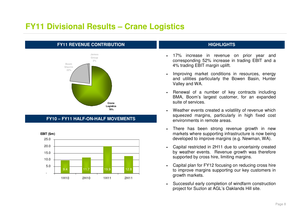## **FY11 Divisional Results – Crane Logistics**

#### **FY11 REVENUE CONTRIBUTION AND LOCAL CONTRIBUTION CONTRIBUTION**



### **FY10 – FY11 HALF-ON-HALF MOVEMENTS**



- • 17% increase in revenue on prior year and corresponding 52% increase in trading EBIT and a 4% trading EBIT margin uplift.
- • Improving market conditions in resources, energy and utilities particularly the Bowen Basin, Hunter Valley and WA.
- • Renewal of a number of key contracts including BMA, Boom's largest customer, for an expanded suite of services.
- • Weather events created a volatility of revenue which squeezed margins, particularly in high fixed cost environments in remote areas.
- • There has been strong revenue growth in new markets where supporting infrastructure is now being developed to improve margins (e.g. Newman, WA).
- • Capital restricted in 2H11 due to uncertainty created by weather events. Revenue growth was therefore supported by cross hire, limiting margins.
- • Capital plan for FY12 focusing on reducing cross hire to improve margins supporting our key customers in growth markets.
- Successful early completion of windfarm construction project for Suzlon at AGL's Oaklands Hill site.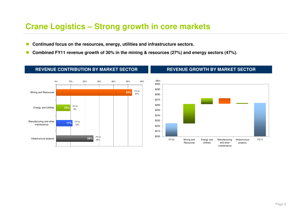## **Crane Logistics – Strong growth in core markets**

- T. **Continued focus on the resources, energy, utilities and infrastructure sectors.**
- П **Combined FY11 revenue growth of 30% in the mining & resources (27%) and energy sectors (47%).**



#### **REVENUE CONTRIBUTION BY MARKET SECTOR REVENUE GROWTH BY MARKET SECTOR**

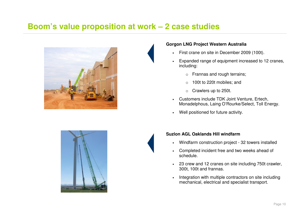### **Boom's value proposition at work – 2 case studies**



#### **Gorgon LNG Project Western Australia**

- •First crane on site in December 2009 (100t).
- • Expanded range of equipment increased to 12 cranes, including:
	- o Frannas and rough terrains;
	- o 100t to 220t mobiles; and
	- o Crawlers up to 250t.
- • Customers include TDK Joint Venture, Ertech, Monadelphous, Laing O'Rourke/Select, Toll Energy.
- •Well positioned for future activity.



### **Suzlon AGL Oaklands Hill windfarm**

- •Windfarm construction project - 32 towers installed
- • Completed incident free and two weeks ahead of schedule.
- • 23 crew and 12 cranes on site including 750t crawler, 300t, 100t and frannas.
- • Integration with multiple contractors on site including mechanical, electrical and specialist transport.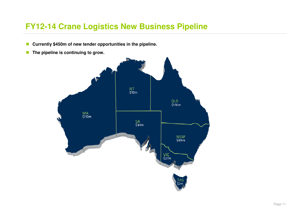## **FY12-14 Crane Logistics New Business Pipeline**

- $\mathcal{L}_{\mathcal{A}}$ **Currently \$450m of new tender opportunities in the pipeline.**
- $\mathcal{L}_{\mathcal{A}}$ **The pipeline is continuing to grow.**

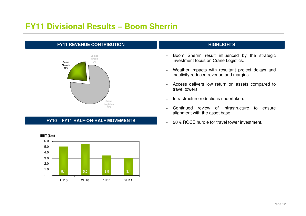# **FY11 Divisional Results – Boom Sherrin**

### **FY11 REVENUE CONTRIBUTION HIGHLIGHTS**



### **FY10 – FY11 HALF-ON-HALF MOVEMENTS**



- • Boom Sherrin result influenced by the strategic investment focus on Crane Logistics.
- Weather impacts with resultant project delays and inactivity reduced revenue and margins.
- Access delivers low return on assets compared to travel towers.
- •Infrastructure reductions undertaken.
- • Continued review of infrastructure to ensure alignment with the asset base.
- 20% ROCE hurdle for travel tower investment.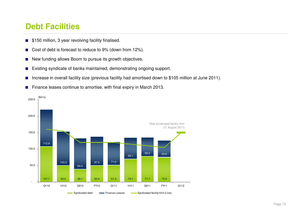## **Debt Facilities**

- ■\$150 million, 3 year revolving facility finalised.
- ■Cost of debt is forecast to reduce to 9% (down from 12%).
- ■New funding allows Boom to pursue its growth objectives.
- ■Existing syndicate of banks maintained, demonstrating ongoing support.
- ■Increase in overall facility size (previous facility had amortised down to \$105 million at June 2011).
- Finance leases continue to amortise, with final expiry in March 2013.

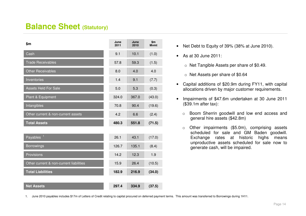### **Balance Sheet (Statutory)**

| \$m                                     | June<br>2011 | June<br>2010 | \$m\$<br><b>M</b> vmt |
|-----------------------------------------|--------------|--------------|-----------------------|
| Cash                                    | 9.1          | 10.1         | (1.0)                 |
| <b>Trade Receivables</b>                | 57.8         | 59.3         | (1.5)                 |
| <b>Other Receivables</b>                | 8.0          | 4.0          | 4.0                   |
| Inventories                             | 1.4          | 9.1          | (7.7)                 |
| <b>Assets Held For Sale</b>             | 5.0          | 5.3          | (0.3)                 |
| Plant & Equipment                       | 324.0        | 367.0        | (43.0)                |
| Intangibles                             | 70.8         | 90.4         | (19.6)                |
| Other current & non-current assets      | 4.2          | 6.6          | (2.4)                 |
| <b>Total Assets</b>                     | 480.3        | 551.8        | (71.5)                |
|                                         |              |              |                       |
| $\overline{Payables}$ <sup>1</sup>      | 26.1         | 43.1         | (17.0)                |
| <b>Borrowings</b>                       | 126.7        | 135.1        | (8.4)                 |
| <b>Provisions</b>                       | 14.2         | 12.3         | 1.9                   |
| Other current & non-current liabilities | 15.9         | 26.4         | (10.5)                |
| <b>Total Liabilities</b>                | 182.9        | 216.9        | (34.0)                |
|                                         |              |              |                       |
| <b>Net Assets</b>                       | 297.4        | 334.9        | (37.5)                |

- Net Debt to Equity of 39% (38% at June 2010).
- As at 30 June 2011:
	- o Net Tangible Assets per share of \$0.49.
	- o Net Assets per share of \$0.64
- Capital additions of \$20.9m during FY11, with capital allocations driven by major customer requirements.
- Impairments of \$47.6m undertaken at 30 June 2011 (\$39.1m after tax):
	- o Boom Sherrin goodwill and low end access and general hire assets (\$42.8m)
	- o Other impairments (\$5.0m), comprising assets scheduled for sale and GM Baden goodwill. Exchange rates at historic highs means unproductive assets scheduled for sale now to generate cash, will be impaired.

1. June 2010 payables includes \$17m of Letters of Credit relating to capital procured on deferred payment terms. This amount was transferred to Borrowings during 1H11.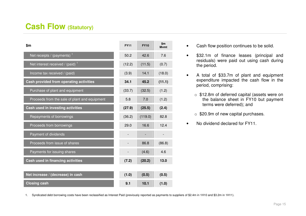# **Cash Flow (Statutory)**

| \$m                                           | <b>FY11</b> | <b>FY10</b>              | \$m\$<br><b>M</b> vmt |
|-----------------------------------------------|-------------|--------------------------|-----------------------|
| Net receipts / (payments) <sup>1</sup>        | 50.2        | 42.6                     | 7.6                   |
| Net interest received / (paid) $^1$           | (12.2)      | (11.5)                   | (0.7)                 |
| Income tax received / (paid)                  | (3.9)       | 14.1                     | (18.0)                |
| Cash provided from operating activities       | 34.1        | 45.2                     | (11.1)                |
| Purchase of plant and equipment               | (33.7)      | (32.5)                   | (1.2)                 |
| Proceeds from the sale of plant and equipment | 5.8         | 7.0                      | (1.2)                 |
| Cash used in investing activities             | (27.9)      | (25.5)                   | (2.4)                 |
| Repayments of borrowings                      | (36.2)      | (119.0)                  | 82.8                  |
| Proceeds from borrowings                      | 29.0        | 16.6                     | 12.4                  |
| Payment of dividends                          |             | $\overline{\phantom{a}}$ |                       |
| Proceeds from issue of shares                 |             | 86.8                     | (86.8)                |
| Payments for issuing shares                   |             | (4.6)                    | 4.6                   |
| Cash used in financing activities             | (7.2)       | (20.2)                   | 13.0                  |
|                                               |             |                          |                       |
| Net increase / (decrease) in cash             | (1.0)       | (0.5)                    | (0.5)                 |
| <b>Closing cash</b>                           | 9.1         | 10.1                     | (1.0)                 |

• Cash flow position continues to be solid.

• \$32.1m of finance leases (principal and residuals) were paid out using cash during the period.

- A total of \$33.7m of plant and equipment expenditure impacted the cash flow in the period, comprising:
	- o \$12.8m of deferred capital (assets were on the balance sheet in FY10 but payment terms were deferred); and
	- o \$20.9m of new capital purchases.
- No dividend declared for FY11.

1. Syndicated debt borrowing costs have been reclassified as Interest Paid (previously reported as payments to suppliers of \$2.4m in 1H10 and \$3.2m in 1H11).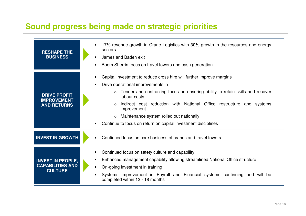# **Sound progress being made on strategic priorities**

| <b>RESHAPE THE</b><br><b>BUSINESS</b>                                 | 17% revenue growth in Crane Logistics with 30% growth in the resources and energy<br>sectors<br>James and Baden exit<br>Boom Sherrin focus on travel towers and cash generation                                                                                                                                                                                                                                                         |
|-----------------------------------------------------------------------|-----------------------------------------------------------------------------------------------------------------------------------------------------------------------------------------------------------------------------------------------------------------------------------------------------------------------------------------------------------------------------------------------------------------------------------------|
| <b>DRIVE PROFIT</b><br><b>IMPROVEMENT</b><br><b>AND RETURNS</b>       | Capital investment to reduce cross hire will further improve margins<br>Drive operational improvements in<br>Tender and contracting focus on ensuring ability to retain skills and recover<br>labour costs<br>Indirect cost reduction with National Office restructure and systems<br>$\bigcirc$<br>improvement<br>Maintenance system rolled out nationally<br>$\circ$<br>Continue to focus on return on capital investment disciplines |
| <b>INVEST IN GROWTH</b>                                               | Continued focus on core business of cranes and travel towers                                                                                                                                                                                                                                                                                                                                                                            |
| <b>INVEST IN PEOPLE,</b><br><b>CAPABILITIES AND</b><br><b>CULTURE</b> | Continued focus on safety culture and capability<br>Enhanced management capability allowing streamlined National Office structure<br>On-going investment in training<br>$\bullet$<br>Systems improvement in Payroll and Financial systems continuing and will be<br>completed within 12 - 18 months                                                                                                                                     |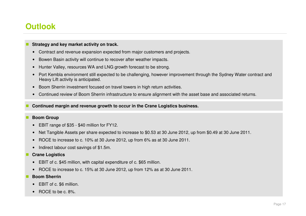# **Outlook**

#### **Strategy and key market activity on track.**

- Contract and revenue expansion expected from major customers and projects.
- Bowen Basin activity will continue to recover after weather impacts.
- Hunter Valley, resources WA and LNG growth forecast to be strong.
- Port Kembla environment still expected to be challenging, however improvement through the Sydney Water contract and Heavy Lift activity is anticipated.
- Boom Sherrin investment focused on travel towers in high return activities.
- Continued review of Boom Sherrin infrastructure to ensure alignment with the asset base and associated returns.
- **Continued margin and revenue growth to occur in the Crane Logistics business.**

#### **Boom Group**

- EBIT range of \$35 \$40 million for FY12.
- Net Tangible Assets per share expected to increase to \$0.53 at 30 June 2012, up from \$0.49 at 30 June 2011.
- ROCE to increase to c. 10% at 30 June 2012, up from 6% as at 30 June 2011.
- Indirect labour cost savings of \$1.5m.

#### **Crane Logistics**

- EBIT of c. \$45 million, with capital expenditure of c. \$65 million.
- ROCE to increase to c. 15% at 30 June 2012, up from 12% as at 30 June 2011.
- **Boom Sherrin** 
	- EBIT of c. \$6 million.
	- ROCE to be c. 8%.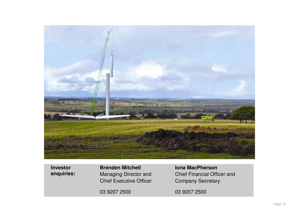

**Investor enquiries:** **Brenden Mitchell**  Managing Director and Chief Executive Officer 03 9207 2500

**Iona MacPherson**  Chief Financial Officer and Company Secretary

03 9207 2500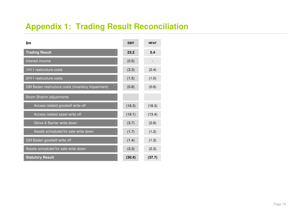# **Appendix 1: Trading Result Reconciliation**

| \$m                                               | <b>EBIT</b> | <b>NPAT</b> |
|---------------------------------------------------|-------------|-------------|
| <b>Trading Result</b>                             | 23.2        | 5.4         |
| Interest income                                   | (0.5)       |             |
| 1H11 restructure costs                            | (3.3)       | (2.4)       |
| 2H11 restructure costs                            | (1.5)       | (1.0)       |
| GM Baden restructure costs (inventory impairment) | (0.8)       | (0.6)       |
| Boom Sherrin adjustments                          |             |             |
| Access related goodwill write off                 | (18.3)      | (18.3)      |
| Access related asset write off                    | (19.1)      | (13.4)      |
| Glove & Barrier write down                        | (3.7)       | (2.6)       |
| Assets scheduled for sale write down              | (1.7)       | (1.2)       |
| GM Baden goodwill write off                       | (1.4)       | (1.3)       |
| Assets scheduled for sale write down              | (3.3)       | (2.3)       |
| <b>Statutory Result</b>                           | (30.4)      | (37.7)      |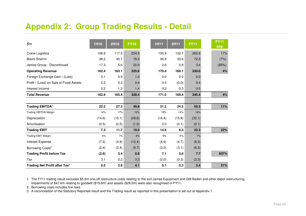# **Appendix 2: Group Trading Results - Detail**

| \$m\$                                     | <b>1H10</b> | 2H10   | <b>FY10</b> | <b>1H11</b> | 2H11   | <b>FY11</b> | <b>FY11</b><br>pcp |
|-------------------------------------------|-------------|--------|-------------|-------------|--------|-------------|--------------------|
| <b>Crane Logistics</b>                    | 106.9       | 117.5  | 224.5       | 130.9       | 132.7  | 263.6       | 17%                |
| Boom Sherrin                              | 38.2        | 40.1   | 78.3        | 36.9        | 35.6   | 72.5        | (7%)               |
| James Group - Discontinued                | 17.3        | 5.6    | 22.9        | 2.6         | 0.8    | 3.4         | (85%)              |
| <b>Operating Revenue</b>                  | 162.4       | 163.1  | 325.6       | 170.4       | 169.1  | 339.6       | 4%                 |
| Foreign Exchange Gain / (Loss)            | 0.1         | 0.9    | 1.0         | 0.0         | 0.0    | 0.0         |                    |
| Profit / (Loss) on Sale of Fixed Assets   | 0.2         | 0.3    | 0.4         | 0.4         | (0.0)  | 0.4         |                    |
| Interest Income                           | 0.2         | 1.2    | 1.4         | 0.2         | 0.3    | 0.5         |                    |
| <b>Total Revenue</b>                      | 162.9       | 165.4  | 328.4       | 171.0       | 169.4  | 340.4       | 4%                 |
|                                           |             |        |             |             |        |             |                    |
| <b>Trading EBITDA1</b>                    | 22.5        | 27.3   | 49.8        | 31.2        | 24.3   | 55.5        | 11%                |
| <b>Trading EBITDA Margin</b>              | 14%         | 17%    | 15%         | 18%         | 14%    | 16%         |                    |
| Depreciation                              | (14.6)      | (15.1) | (29.8)      | (16.4)      | (15.8) | (32.1)      |                    |
| Amortisation                              | (0.5)       | (0.5)  | (1.0)       | 0.0         | (0.1)  | (0.1)       |                    |
| <b>Trading EBIT</b>                       | 7.3         | 11.7   | 19.0        | 14.9        | 8.3    | 23.2        | 22%                |
| <b>Trading EBIT Margin</b>                | 4%          | 7%     | 6%          | 9%          | 5%     | 7%          |                    |
| Interest Expense                          | (7.5)       | (4.9)  | (12.4)      | (4.6)       | (4.7)  | (9.3)       |                    |
| Borrowing Costs <sup>2</sup>              | (2.4)       | (3.4)  | (5.7)       | (3.2)       | (3.1)  | (6.3)       |                    |
| <b>Trading Profit before Tax</b>          | (2.6)       | 3.4    | 0.8         | 7.1         | 0.6    | 7.7         | 837%               |
| Tax                                       | 3.1         | 0.2    | 3.3         | (2.0)       | (0.3)  | (2.3)       |                    |
| Trading Net Profit after Tax <sup>3</sup> | 0.5         | 3.6    | 4.1         | 5.1         | 0.3    | 5.4         | 31%                |

1. The FY11 trading result excludes \$5.6m one-off restructure costs relating to the exit James Equipment and GM Baden and other depot restructuring.Impairments of \$47.6m relating to goodwill (\$19.6m) and assets (\$28.0m) were also recognised in FY11.

2. Borrowing costs includes line fees.

3. A reconcilaition of the Statutory Reported result and the Trading result as reported in this presentation is set out at Appendix 1.